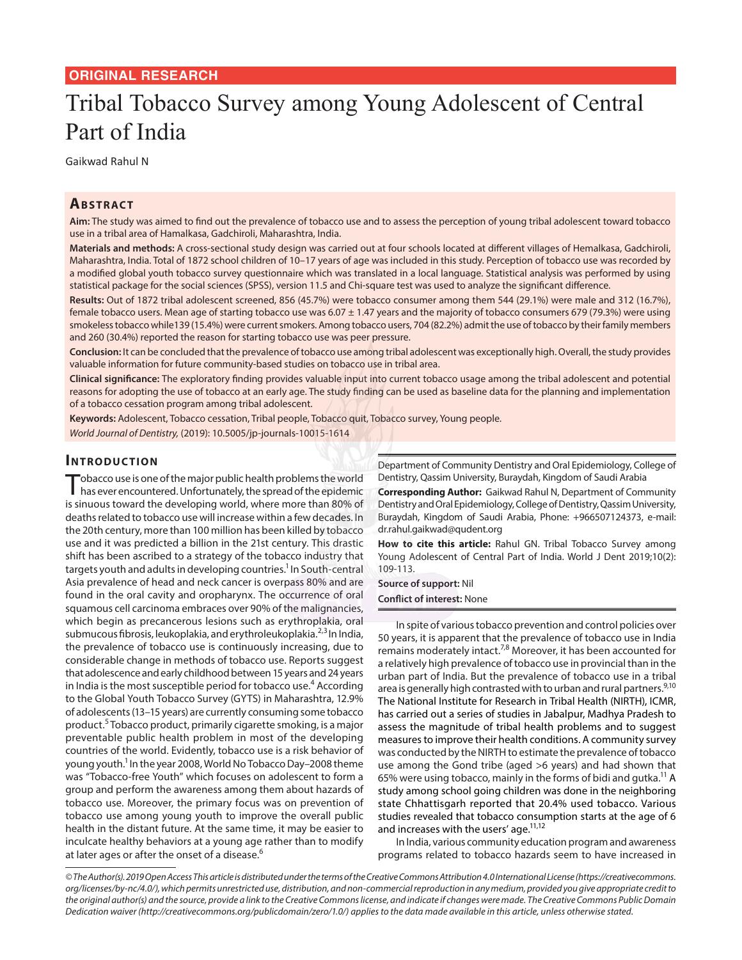# **ORIGINAL RESEARCH**

# Tribal Tobacco Survey among Young Adolescent of Central Part of India

Gaikwad Rahul N

## **Ab s t rac t**

**Aim:** The study was aimed to find out the prevalence of tobacco use and to assess the perception of young tribal adolescent toward tobacco use in a tribal area of Hamalkasa, Gadchiroli, Maharashtra, India.

**Materials and methods:** A cross-sectional study design was carried out at four schools located at different villages of Hemalkasa, Gadchiroli, Maharashtra, India. Total of 1872 school children of 10–17 years of age was included in this study. Perception of tobacco use was recorded by a modified global youth tobacco survey questionnaire which was translated in a local language. Statistical analysis was performed by using statistical package for the social sciences (SPSS), version 11.5 and Chi-square test was used to analyze the significant difference.

**Results:** Out of 1872 tribal adolescent screened, 856 (45.7%) were tobacco consumer among them 544 (29.1%) were male and 312 (16.7%), female tobacco users. Mean age of starting tobacco use was  $6.07 \pm 1.47$  years and the majority of tobacco consumers 679 (79.3%) were using smokeless tobacco while139 (15.4%) were current smokers. Among tobacco users, 704 (82.2%) admit the use of tobacco by their family members and 260 (30.4%) reported the reason for starting tobacco use was peer pressure.

**Conclusion:** It can be concluded that the prevalence of tobacco use among tribal adolescent was exceptionally high. Overall, the study provides valuable information for future community-based studies on tobacco use in tribal area.

**Clinical significance:** The exploratory finding provides valuable input into current tobacco usage among the tribal adolescent and potential reasons for adopting the use of tobacco at an early age. The study finding can be used as baseline data for the planning and implementation of a tobacco cessation program among tribal adolescent.

**Keywords:** Adolescent, Tobacco cessation, Tribal people, Tobacco quit, Tobacco survey, Young people.

*World Journal of Dentistry,* (2019): 10.5005/jp-journals-10015-1614

## **INTRODUCTION**

Tobacco use is one of the major public health problems the world<br>has ever encountered. Unfortunately, the spread of the epidemic is sinuous toward the developing world, where more than 80% of deaths related to tobacco use will increase within a few decades. In the 20th century, more than 100 million has been killed by tobacco use and it was predicted a billion in the 21st century. This drastic shift has been ascribed to a strategy of the tobacco industry that targets youth and adults in developing countries.<sup>1</sup> In South-central Asia prevalence of head and neck cancer is overpass 80% and are found in the oral cavity and oropharynx. The occurrence of oral squamous cell carcinoma embraces over 90% of the malignancies, which begin as precancerous lesions such as erythroplakia, oral submucous fibrosis, leukoplakia, and erythroleukoplakia.<sup>2,3</sup> In India, the prevalence of tobacco use is continuously increasing, due to considerable change in methods of tobacco use. Reports suggest that adolescence and early childhood between 15 years and 24 years in India is the most susceptible period for tobacco use.<sup>4</sup> According to the Global Youth Tobacco Survey (GYTS) in Maharashtra, 12.9% of adolescents (13–15 years) are currently consuming some tobacco product.<sup>5</sup> Tobacco product, primarily cigarette smoking, is a major preventable public health problem in most of the developing countries of the world. Evidently, tobacco use is a risk behavior of young youth.<sup>1</sup> In the year 2008, World No Tobacco Day–2008 theme was "Tobacco-free Youth" which focuses on adolescent to form a group and perform the awareness among them about hazards of tobacco use. Moreover, the primary focus was on prevention of tobacco use among young youth to improve the overall public health in the distant future. At the same time, it may be easier to inculcate healthy behaviors at a young age rather than to modify at later ages or after the onset of a disease.<sup>6</sup>

Department of Community Dentistry and Oral Epidemiology, College of Dentistry, Qassim University, Buraydah, Kingdom of Saudi Arabia

**Corresponding Author:** Gaikwad Rahul N, Department of Community Dentistry and Oral Epidemiology, College of Dentistry, Qassim University, Buraydah, Kingdom of Saudi Arabia, Phone: +966507124373, e-mail: dr.rahul.gaikwad@qudent.org

**How to cite this article:** Rahul GN. Tribal Tobacco Survey among Young Adolescent of Central Part of India. World J Dent 2019;10(2): 109-113.

**Source of support:** Nil **Conflict of interest:** None

In spite of various tobacco prevention and control policies over 50 years, it is apparent that the prevalence of tobacco use in India remains moderately intact.<sup>7,8</sup> Moreover, it has been accounted for a relatively high prevalence of tobacco use in provincial than in the urban part of India. But the prevalence of tobacco use in a tribal area is generally high contrasted with to urban and rural partners.<sup>9,10</sup> The National Institute for Research in Tribal Health (NIRTH), ICMR, has carried out a series of studies in Jabalpur, Madhya Pradesh to assess the magnitude of tribal health problems and to suggest measures to improve their health conditions. A community survey was conducted by the NIRTH to estimate the prevalence of tobacco use among the Gond tribe (aged >6 years) and had shown that 65% were using tobacco, mainly in the forms of bidi and gutka.<sup>11</sup> A study among school going children was done in the neighboring state Chhattisgarh reported that 20.4% used tobacco. Various studies revealed that tobacco consumption starts at the age of 6 and increases with the users' age. $11,12$ 

In India, various community education program and awareness programs related to tobacco hazards seem to have increased in

*<sup>©</sup> The Author(s). 2019 Open Access This article is distributed under the terms of the Creative Commons Attribution 4.0 International License (https://creativecommons. org/licenses/by-nc/4.0/), which permits unrestricted use, distribution, and non-commercial reproduction in any medium, provided you give appropriate credit to the original author(s) and the source, provide a link to the Creative Commons license, and indicate if changes were made. The Creative Commons Public Domain Dedication waiver (http://creativecommons.org/publicdomain/zero/1.0/) applies to the data made available in this article, unless otherwise stated.*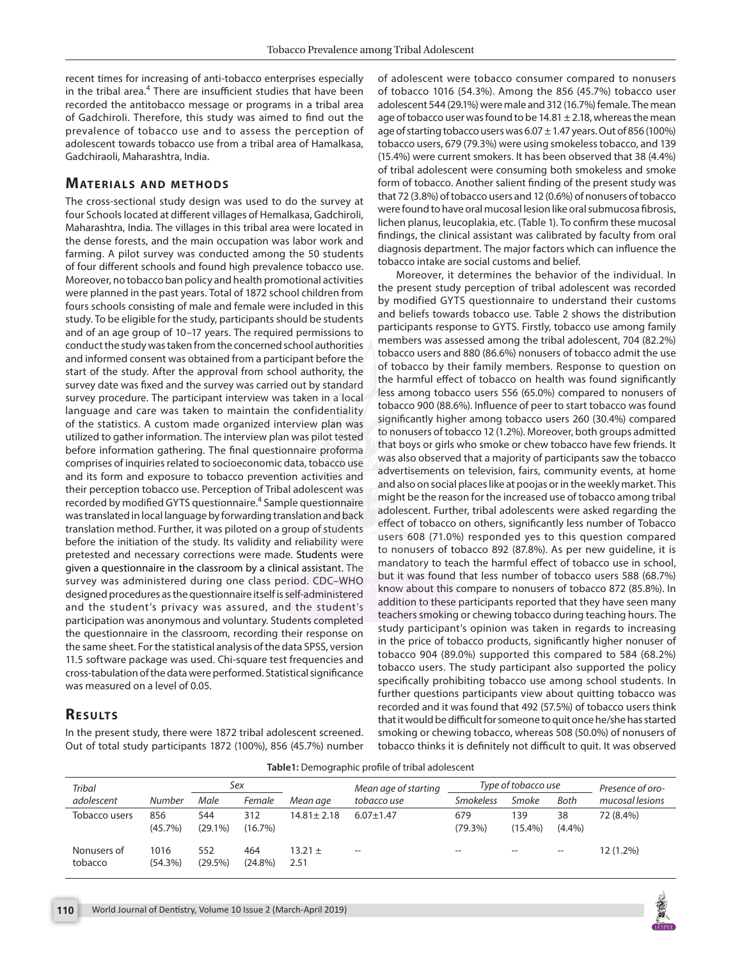recent times for increasing of anti-tobacco enterprises especially in the tribal area.<sup>4</sup> There are insufficient studies that have been recorded the antitobacco message or programs in a tribal area of Gadchiroli. Therefore, this study was aimed to find out the prevalence of tobacco use and to assess the perception of adolescent towards tobacco use from a tribal area of Hamalkasa, Gadchiraoli, Maharashtra, India.

#### **MATERIALS AND METHODS**

The cross-sectional study design was used to do the survey at four Schools located at different villages of Hemalkasa, Gadchiroli, Maharashtra, India. The villages in this tribal area were located in the dense forests, and the main occupation was labor work and farming. A pilot survey was conducted among the 50 students of four different schools and found high prevalence tobacco use. Moreover, no tobacco ban policy and health promotional activities were planned in the past years. Total of 1872 school children from fours schools consisting of male and female were included in this study. To be eligible for the study, participants should be students and of an age group of 10–17 years. The required permissions to conduct the study was taken from the concerned school authorities and informed consent was obtained from a participant before the start of the study. After the approval from school authority, the survey date was fixed and the survey was carried out by standard survey procedure. The participant interview was taken in a local language and care was taken to maintain the confidentiality of the statistics. A custom made organized interview plan was utilized to gather information. The interview plan was pilot tested before information gathering. The final questionnaire proforma comprises of inquiries related to socioeconomic data, tobacco use and its form and exposure to tobacco prevention activities and their perception tobacco use. Perception of Tribal adolescent was recorded by modified GYTS questionnaire.<sup>4</sup> Sample questionnaire was translated in local language by forwarding translation and back translation method. Further, it was piloted on a group of students before the initiation of the study. Its validity and reliability were pretested and necessary corrections were made. Students were given a questionnaire in the classroom by a clinical assistant. The survey was administered during one class period. CDC–WHO designed procedures as the questionnaire itself is self-administered and the student's privacy was assured, and the student's participation was anonymous and voluntary. Students completed the questionnaire in the classroom, recording their response on the same sheet. For the statistical analysis of the data SPSS, version 11.5 software package was used. Chi-square test frequencies and cross-tabulation of the data were performed. Statistical significance was measured on a level of 0.05.

# **RESULTS**

In the present study, there were 1872 tribal adolescent screened. Out of total study participants 1872 (100%), 856 (45.7%) number of adolescent were tobacco consumer compared to nonusers of tobacco 1016 (54.3%). Among the 856 (45.7%) tobacco user adolescent 544 (29.1%) were male and 312 (16.7%) female. The mean age of tobacco user was found to be  $14.81 \pm 2.18$ , whereas the mean age of starting tobacco users was  $6.07 \pm 1.47$  years. Out of 856 (100%) tobacco users, 679 (79.3%) were using smokeless tobacco, and 139 (15.4%) were current smokers. It has been observed that 38 (4.4%) of tribal adolescent were consuming both smokeless and smoke form of tobacco. Another salient finding of the present study was that 72 (3.8%) of tobacco users and 12 (0.6%) of nonusers of tobacco were found to have oral mucosal lesion like oral submucosa fibrosis, lichen planus, leucoplakia, etc. (Table 1). To confirm these mucosal findings, the clinical assistant was calibrated by faculty from oral diagnosis department. The major factors which can influence the tobacco intake are social customs and belief.

Moreover, it determines the behavior of the individual. In the present study perception of tribal adolescent was recorded by modified GYTS questionnaire to understand their customs and beliefs towards tobacco use. Table 2 shows the distribution participants response to GYTS. Firstly, tobacco use among family members was assessed among the tribal adolescent, 704 (82.2%) tobacco users and 880 (86.6%) nonusers of tobacco admit the use of tobacco by their family members. Response to question on the harmful effect of tobacco on health was found significantly less among tobacco users 556 (65.0%) compared to nonusers of tobacco 900 (88.6%). Influence of peer to start tobacco was found significantly higher among tobacco users 260 (30.4%) compared to nonusers of tobacco 12 (1.2%). Moreover, both groups admitted that boys or girls who smoke or chew tobacco have few friends. It was also observed that a majority of participants saw the tobacco advertisements on television, fairs, community events, at home and also on social places like at poojas or in the weekly market. This might be the reason for the increased use of tobacco among tribal adolescent. Further, tribal adolescents were asked regarding the effect of tobacco on others, significantly less number of Tobacco users 608 (71.0%) responded yes to this question compared to nonusers of tobacco 892 (87.8%). As per new guideline, it is mandatory to teach the harmful effect of tobacco use in school, but it was found that less number of tobacco users 588 (68.7%) know about this compare to nonusers of tobacco 872 (85.8%). In addition to these participants reported that they have seen many teachers smoking or chewing tobacco during teaching hours. The study participant's opinion was taken in regards to increasing in the price of tobacco products, significantly higher nonuser of tobacco 904 (89.0%) supported this compared to 584 (68.2%) tobacco users. The study participant also supported the policy specifically prohibiting tobacco use among school students. In further questions participants view about quitting tobacco was recorded and it was found that 492 (57.5%) of tobacco users think that it would be difficult for someone to quit once he/she has started smoking or chewing tobacco, whereas 508 (50.0%) of nonusers of tobacco thinks it is definitely not difficult to quit. It was observed

**Table1:** Demographic profile of tribal adolescent

| Tribal                 |                 |                   | Sex               |                     | Mean age of starting |                   | Type of tobacco use |                   | Presence of oro- |
|------------------------|-----------------|-------------------|-------------------|---------------------|----------------------|-------------------|---------------------|-------------------|------------------|
| adolescent             | Number          | Male              | Female            | Mean age            | tobacco use          | <b>Smokeless</b>  | Smoke               | Both              | mucosal lesions  |
| Tobacco users          | 856<br>(45.7%)  | 544<br>$(29.1\%)$ | 312<br>$(16.7\%)$ | $14.81 \pm 2.18$    | $6.07 \pm 1.47$      | 679<br>$(79.3\%)$ | 139<br>$(15.4\%)$   | 38<br>$(4.4\%)$   | 72 (8.4%)        |
| Nonusers of<br>tobacco | 1016<br>(54.3%) | 552<br>(29.5%)    | 464<br>$(24.8\%)$ | $13.21 \pm$<br>2.51 | $\hspace{0.05cm}$    | $-$               | $-$                 | $\qquad \qquad -$ | 12 (1.2%)        |

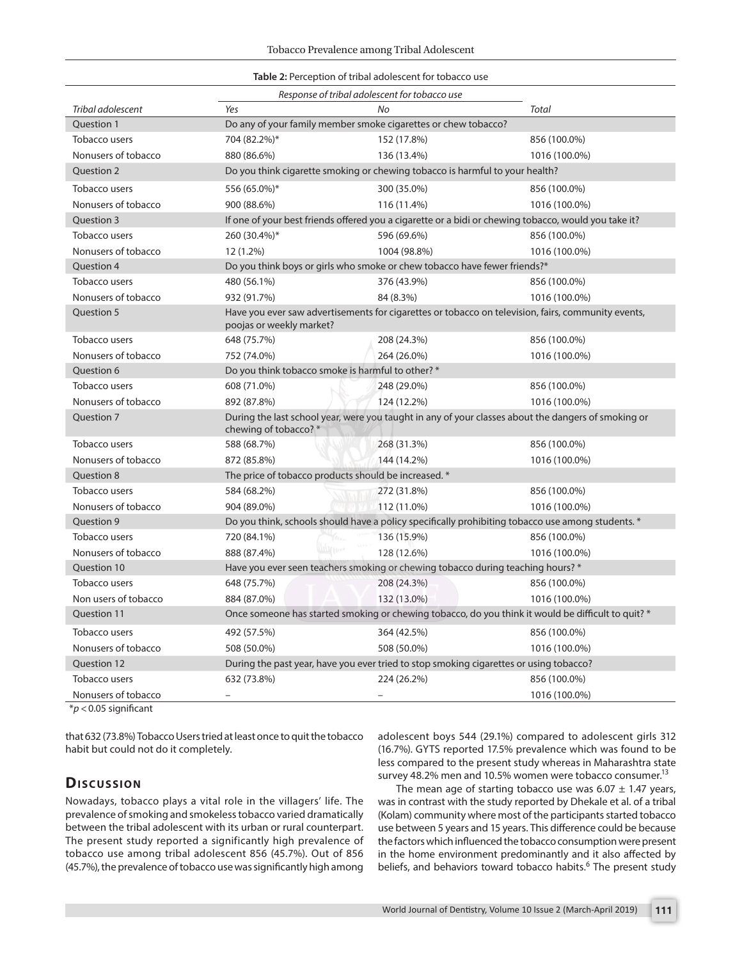| Response of tribal adolescent for tobacco use |                                                                                                                                |                          |               |  |  |  |  |  |
|-----------------------------------------------|--------------------------------------------------------------------------------------------------------------------------------|--------------------------|---------------|--|--|--|--|--|
| Tribal adolescent                             | Yes                                                                                                                            | No                       | Total         |  |  |  |  |  |
| Ouestion 1                                    | Do any of your family member smoke cigarettes or chew tobacco?                                                                 |                          |               |  |  |  |  |  |
| Tobacco users                                 | 704 (82.2%)*                                                                                                                   | 152 (17.8%)              | 856 (100.0%)  |  |  |  |  |  |
| Nonusers of tobacco                           | 880 (86.6%)                                                                                                                    | 136 (13.4%)              | 1016 (100.0%) |  |  |  |  |  |
| Question 2                                    | Do you think cigarette smoking or chewing tobacco is harmful to your health?                                                   |                          |               |  |  |  |  |  |
| Tobacco users                                 | 556 (65.0%)*                                                                                                                   | 300 (35.0%)              | 856 (100.0%)  |  |  |  |  |  |
| Nonusers of tobacco                           | 900 (88.6%)                                                                                                                    | 116 (11.4%)              | 1016 (100.0%) |  |  |  |  |  |
| Question 3                                    | If one of your best friends offered you a cigarette or a bidi or chewing tobacco, would you take it?                           |                          |               |  |  |  |  |  |
| Tobacco users                                 | 260 (30.4%)*                                                                                                                   | 596 (69.6%)              | 856 (100.0%)  |  |  |  |  |  |
| Nonusers of tobacco                           | 12 (1.2%)                                                                                                                      | 1004 (98.8%)             | 1016 (100.0%) |  |  |  |  |  |
| Question 4                                    | Do you think boys or girls who smoke or chew tobacco have fewer friends?*                                                      |                          |               |  |  |  |  |  |
| Tobacco users                                 | 480 (56.1%)                                                                                                                    | 376 (43.9%)              | 856 (100.0%)  |  |  |  |  |  |
| Nonusers of tobacco                           | 932 (91.7%)                                                                                                                    | 84 (8.3%)                | 1016 (100.0%) |  |  |  |  |  |
| Question 5                                    | Have you ever saw advertisements for cigarettes or tobacco on television, fairs, community events,<br>poojas or weekly market? |                          |               |  |  |  |  |  |
| Tobacco users                                 | 648 (75.7%)                                                                                                                    | 208 (24.3%)              | 856 (100.0%)  |  |  |  |  |  |
| Nonusers of tobacco                           | 752 (74.0%)                                                                                                                    | 264 (26.0%)              | 1016 (100.0%) |  |  |  |  |  |
| Question 6                                    | Do you think tobacco smoke is harmful to other? *                                                                              |                          |               |  |  |  |  |  |
| Tobacco users                                 | 608 (71.0%)                                                                                                                    | 248 (29.0%)              | 856 (100.0%)  |  |  |  |  |  |
| Nonusers of tobacco                           | 892 (87.8%)                                                                                                                    | 124 (12.2%)              | 1016 (100.0%) |  |  |  |  |  |
| Ouestion 7                                    | During the last school year, were you taught in any of your classes about the dangers of smoking or<br>chewing of tobacco? *   |                          |               |  |  |  |  |  |
| Tobacco users                                 | 588 (68.7%)                                                                                                                    | 268 (31.3%)              | 856 (100.0%)  |  |  |  |  |  |
| Nonusers of tobacco                           | 872 (85.8%)                                                                                                                    | 144 (14.2%)              | 1016 (100.0%) |  |  |  |  |  |
| <b>Ouestion 8</b>                             | The price of tobacco products should be increased. *                                                                           |                          |               |  |  |  |  |  |
| Tobacco users                                 | 584 (68.2%)                                                                                                                    | 272 (31.8%)              | 856 (100.0%)  |  |  |  |  |  |
| Nonusers of tobacco                           | 904 (89.0%)                                                                                                                    | 112 (11.0%)              | 1016 (100.0%) |  |  |  |  |  |
| Ouestion 9                                    | Do you think, schools should have a policy specifically prohibiting tobacco use among students. *                              |                          |               |  |  |  |  |  |
| Tobacco users                                 | 720 (84.1%)                                                                                                                    | 136 (15.9%)              | 856 (100.0%)  |  |  |  |  |  |
| Nonusers of tobacco                           | 888 (87.4%)                                                                                                                    | 128 (12.6%)              | 1016 (100.0%) |  |  |  |  |  |
| Question 10                                   | Have you ever seen teachers smoking or chewing tobacco during teaching hours? *                                                |                          |               |  |  |  |  |  |
| Tobacco users                                 | 648 (75.7%)                                                                                                                    | 208 (24.3%)              | 856 (100.0%)  |  |  |  |  |  |
| Non users of tobacco                          | 884 (87.0%)                                                                                                                    | 132 (13.0%)              | 1016 (100.0%) |  |  |  |  |  |
| Question 11                                   | Once someone has started smoking or chewing tobacco, do you think it would be difficult to quit? *                             |                          |               |  |  |  |  |  |
| Tobacco users                                 | 492 (57.5%)                                                                                                                    | 364 (42.5%)              | 856 (100.0%)  |  |  |  |  |  |
| Nonusers of tobacco                           | 508 (50.0%)                                                                                                                    | 508 (50.0%)              | 1016 (100.0%) |  |  |  |  |  |
| <b>Ouestion 12</b>                            | During the past year, have you ever tried to stop smoking cigarettes or using tobacco?                                         |                          |               |  |  |  |  |  |
| Tobacco users                                 | 632 (73.8%)                                                                                                                    | 224 (26.2%)              | 856 (100.0%)  |  |  |  |  |  |
| Nonusers of tobacco                           | $\overline{\phantom{0}}$                                                                                                       | $\overline{\phantom{0}}$ | 1016 (100.0%) |  |  |  |  |  |

\**p* <0.05 significant

that 632 (73.8%) Tobacco Users tried at least once to quit the tobacco habit but could not do it completely.

# **Dis c u s sio n**

Nowadays, tobacco plays a vital role in the villagers' life. The prevalence of smoking and smokeless tobacco varied dramatically between the tribal adolescent with its urban or rural counterpart. The present study reported a significantly high prevalence of tobacco use among tribal adolescent 856 (45.7%). Out of 856 (45.7%), the prevalence of tobacco use was significantly high among

adolescent boys 544 (29.1%) compared to adolescent girls 312 (16.7%). GYTS reported 17.5% prevalence which was found to be less compared to the present study whereas in Maharashtra state survey 48.2% men and 10.5% women were tobacco consumer.<sup>13</sup>

The mean age of starting tobacco use was  $6.07 \pm 1.47$  years, was in contrast with the study reported by Dhekale et al. of a tribal (Kolam) community where most of the participants started tobacco use between 5 years and 15 years. This difference could be because the factors which influenced the tobacco consumption were present in the home environment predominantly and it also affected by beliefs, and behaviors toward tobacco habits.<sup>6</sup> The present study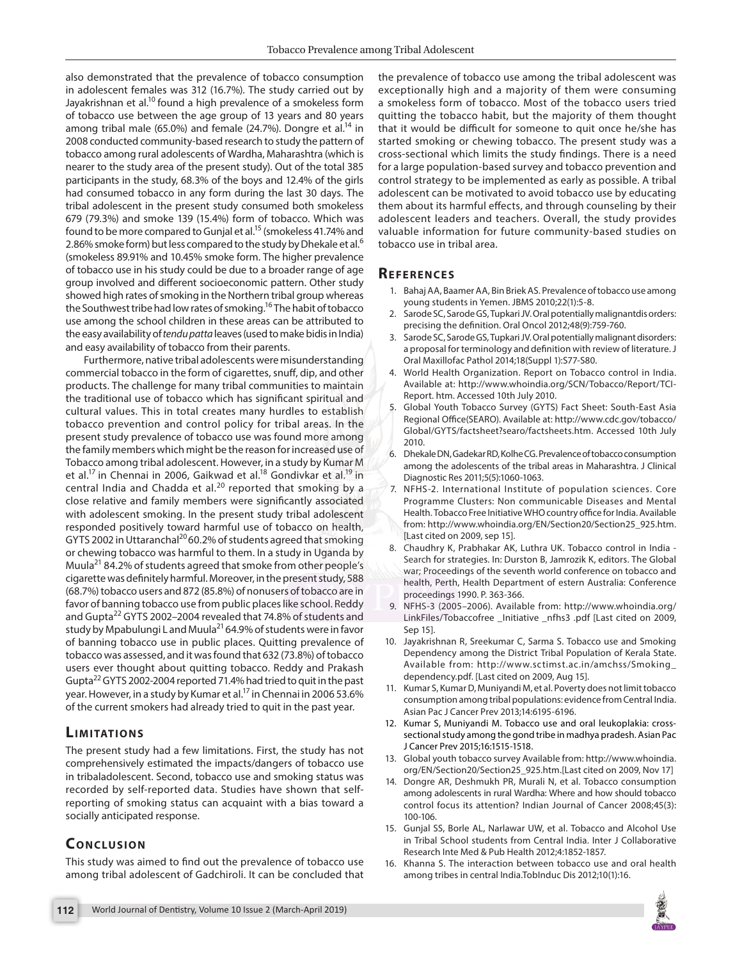also demonstrated that the prevalence of tobacco consumption in adolescent females was 312 (16.7%). The study carried out by Jayakrishnan et al.<sup>10</sup> found a high prevalence of a smokeless form of tobacco use between the age group of 13 years and 80 years among tribal male (65.0%) and female (24.7%). Dongre et al.<sup>14</sup> in 2008 conducted community-based research to study the pattern of tobacco among rural adolescents of Wardha, Maharashtra (which is nearer to the study area of the present study). Out of the total 385 participants in the study, 68.3% of the boys and 12.4% of the girls had consumed tobacco in any form during the last 30 days. The tribal adolescent in the present study consumed both smokeless 679 (79.3%) and smoke 139 (15.4%) form of tobacco. Which was found to be more compared to Gunjal et al.<sup>15</sup> (smokeless 41.74% and 2.86% smoke form) but less compared to the study by Dhekale et al.<sup>6</sup> (smokeless 89.91% and 10.45% smoke form. The higher prevalence of tobacco use in his study could be due to a broader range of age group involved and different socioeconomic pattern. Other study showed high rates of smoking in the Northern tribal group whereas the Southwest tribe had low rates of smoking.<sup>16</sup> The habit of tobacco use among the school children in these areas can be attributed to the easy availability of *tendu patta* leaves (used to make bidis in India) and easy availability of tobacco from their parents.

Furthermore, native tribal adolescents were misunderstanding commercial tobacco in the form of cigarettes, snuff, dip, and other products. The challenge for many tribal communities to maintain the traditional use of tobacco which has significant spiritual and cultural values. This in total creates many hurdles to establish tobacco prevention and control policy for tribal areas. In the present study prevalence of tobacco use was found more among the family members which might be the reason for increased use of Tobacco among tribal adolescent. However, in a study by Kumar M et al.<sup>17</sup> in Chennai in 2006, Gaikwad et al.<sup>18</sup> Gondivkar et al.<sup>19</sup> in central India and Chadda et al.<sup>20</sup> reported that smoking by a close relative and family members were significantly associated with adolescent smoking. In the present study tribal adolescent responded positively toward harmful use of tobacco on health, GYTS 2002 in Uttaranchal<sup>20</sup> 60.2% of students agreed that smoking or chewing tobacco was harmful to them. In a study in Uganda by Muula21 84.2% of students agreed that smoke from other people's cigarette was definitely harmful. Moreover, in the present study, 588 (68.7%) tobacco users and 872 (85.8%) of nonusers of tobacco are in favor of banning tobacco use from public places like school. Reddy and Gupta<sup>22</sup> GYTS 2002-2004 revealed that 74.8% of students and study by Mpabulungi L and Muula<sup>21</sup> 64.9% of students were in favor of banning tobacco use in public places. Quitting prevalence of tobacco was assessed, and it was found that 632 (73.8%) of tobacco users ever thought about quitting tobacco. Reddy and Prakash Gupta<sup>22</sup> GYTS 2002-2004 reported 71.4% had tried to quit in the past year. However, in a study by Kumar et al.<sup>17</sup> in Chennai in 2006 53.6% of the current smokers had already tried to quit in the past year.

# **LIMITATIONS**

The present study had a few limitations. First, the study has not comprehensively estimated the impacts/dangers of tobacco use in tribaladolescent. Second, tobacco use and smoking status was recorded by self-reported data. Studies have shown that selfreporting of smoking status can acquaint with a bias toward a socially anticipated response.

# **CONCLUSION**

This study was aimed to find out the prevalence of tobacco use among tribal adolescent of Gadchiroli. It can be concluded that the prevalence of tobacco use among the tribal adolescent was exceptionally high and a majority of them were consuming a smokeless form of tobacco. Most of the tobacco users tried quitting the tobacco habit, but the majority of them thought that it would be difficult for someone to quit once he/she has started smoking or chewing tobacco. The present study was a cross-sectional which limits the study findings. There is a need for a large population-based survey and tobacco prevention and control strategy to be implemented as early as possible. A tribal adolescent can be motivated to avoid tobacco use by educating them about its harmful effects, and through counseling by their adolescent leaders and teachers. Overall, the study provides valuable information for future community-based studies on tobacco use in tribal area.

# **Re f e r e n c e s**

- 1. Bahaj AA, Baamer AA, Bin Briek AS. Prevalence of tobacco use among young students in Yemen. JBMS 2010;22(1):5-8.
- Sarode SC, Sarode GS, Tupkari JV. Oral potentially malignantdis orders: precising the definition. Oral Oncol 2012;48(9):759-760.
- 3. Sarode SC, Sarode GS, Tupkari JV. Oral potentially malignant disorders: a proposal for terminology and definition with review of literature. J Oral Maxillofac Pathol 2014;18(Suppl 1):S77-S80.
- 4. World Health Organization. Report on Tobacco control in India. Available at: http://www.whoindia.org/SCN/Tobacco/Report/TCI-Report. htm. Accessed 10th July 2010.
- 5. Global Youth Tobacco Survey (GYTS) Fact Sheet: South-East Asia Regional Office(SEARO). Available at: http://www.cdc.gov/tobacco/ Global/GYTS/factsheet?searo/factsheets.htm. Accessed 10th July 2010.
- 6. Dhekale DN, Gadekar RD, Kolhe CG. Prevalence of tobacco consumption among the adolescents of the tribal areas in Maharashtra. J Clinical Diagnostic Res 2011;5(5):1060-1063.
- 7. NFHS-2. International Institute of population sciences. Core Programme Clusters: Non communicable Diseases and Mental Health. Tobacco Free Initiative WHO country office for India. Available from: http://www.whoindia.org/EN/Section20/Section25\_925.htm. [Last cited on 2009, sep 15].
- 8. Chaudhry K, Prabhakar AK, Luthra UK. Tobacco control in India Search for strategies. In: Durston B, Jamrozik K, editors. The Global war; Proceedings of the seventh world conference on tobacco and health, Perth, Health Department of estern Australia: Conference proceedings 1990. P. 363-366.
- 9. NFHS-3 (2005–2006). Available from: http://www.whoindia.org/ LinkFiles/Tobaccofree Initiative nfhs3 .pdf [Last cited on 2009, Sep 15].
- 10. Jayakrishnan R, Sreekumar C, Sarma S. Tobacco use and Smoking Dependency among the District Tribal Population of Kerala State. Available from: http://www.sctimst.ac.in/amchss/Smoking\_ dependency.pdf. [Last cited on 2009, Aug 15].
- 11. Kumar S, Kumar D, Muniyandi M, et al. Poverty does not limit tobacco consumption among tribal populations: evidence from Central India. Asian Pac J Cancer Prev 2013;14:6195-6196.
- 12. Kumar S, Muniyandi M. Tobacco use and oral leukoplakia: crosssectional study among the gond tribe in madhya pradesh. Asian Pac J Cancer Prev 2015;16:1515-1518.
- 13. Global youth tobacco survey Available from: http://www.whoindia. org/EN/Section20/Section25\_925.htm.[Last cited on 2009, Nov 17]
- 14. Dongre AR, Deshmukh PR, Murali N, et al. Tobacco consumption among adolescents in rural Wardha: Where and how should tobacco control focus its attention? Indian Journal of Cancer 2008;45(3): 100-106.
- 15. Gunjal SS, Borle AL, Narlawar UW, et al. Tobacco and Alcohol Use in Tribal School students from Central India. Inter J Collaborative Research Inte Med & Pub Health 2012;4:1852-1857.
- 16. Khanna S. The interaction between tobacco use and oral health among tribes in central India.TobInduc Dis 2012;10(1):16.